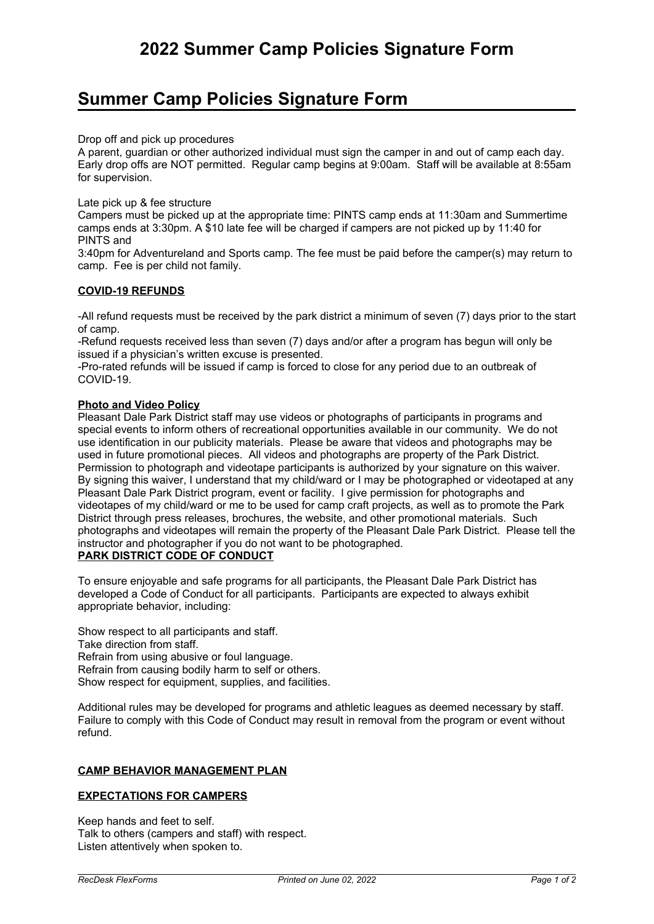# **Summer Camp Policies Signature Form**

Drop off and pick up procedures

A parent, guardian or other authorized individual must sign the camper in and out of camp each day. Early drop offs are NOT permitted. Regular camp begins at 9:00am. Staff will be available at 8:55am for supervision.

Late pick up & fee structure

Campers must be picked up at the appropriate time: PINTS camp ends at 11:30am and Summertime camps ends at 3:30pm. A \$10 late fee will be charged if campers are not picked up by 11:40 for PINTS and

3:40pm for Adventureland and Sports camp. The fee must be paid before the camper(s) may return to camp. Fee is per child not family.

#### **COVID-19 REFUNDS**

-All refund requests must be received by the park district <sup>a</sup> minimum of seven (7) days prior to the start of camp.

-Refund requests received less than seven (7) days and/or after <sup>a</sup> program has begun will only be issued if <sup>a</sup> physician's written excuse is presented.

-Pro-rated refunds will be issued if camp is forced to close for any period due to an outbreak of COVID-19.

#### **Photo and Video Policy**

Pleasant Dale Park District staff may use videos or photographs of participants in programs and special events to inform others of recreational opportunities available in our community. We do not use identification in our publicity materials. Please be aware that videos and photographs may be used in future promotional pieces. All videos and photographs are property of the Park District. Permission to photograph and videotape participants is authorized by your signature on this waiver. By signing this waiver, I understand that my child/ward or I may be photographed or videotaped at any Pleasant Dale Park District program, event or facility. I give permission for photographs and videotapes of my child/ward or me to be used for camp craft projects, as well as to promote the Park District through press releases, brochures, the website, and other promotional materials. Such photographs and videotapes will remain the property of the Pleasant Dale Park District. Please tell the instructor and photographer if you do not want to be photographed. **PARK DISTRICT CODE OF CONDUCT**

To ensure enjoyable and safe programs for all participants, the Pleasant Dale Park District has developed <sup>a</sup> Code of Conduct for all participants. Participants are expected to always exhibit appropriate behavior, including:

Show respect to all participants and staff. Take direction from staff. Refrain from using abusive or foul language. Refrain from causing bodily harm to self or others. Show respect for equipment, supplies, and facilities.

Additional rules may be developed for programs and athletic leagues as deemed necessary by staff. Failure to comply with this Code of Conduct may result in removal from the program or event without refund.

## **CAMP BEHAVIOR MANAGEMENT PLAN**

## **EXPECTATIONS FOR CAMPERS**

Keep hands and feet to self. Talk to others (campers and staff) with respect. Listen attentively when spoken to.